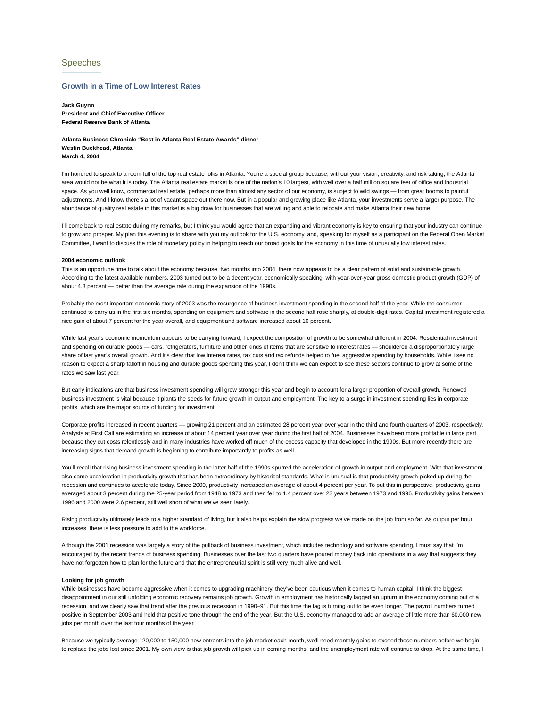# Speeches

## **Growth in a Time of Low Interest Rates**

**Jack Guynn President and Chief Executive Officer Federal Reserve Bank of Atlanta**

**Atlanta Business Chronicle "Best in Atlanta Real Estate Awards" dinner Westin Buckhead, Atlanta March 4, 2004**

I'm honored to speak to a room full of the top real estate folks in Atlanta. You're a special group because, without your vision, creativity, and risk taking, the Atlanta area would not be what it is today. The Atlanta real estate market is one of the nation's 10 largest, with well over a half million square feet of office and industrial space. As you well know, commercial real estate, perhaps more than almost any sector of our economy, is subject to wild swings — from great booms to painful adjustments. And I know there's a lot of vacant space out there now. But in a popular and growing place like Atlanta, your investments serve a larger purpose. The abundance of quality real estate in this market is a big draw for businesses that are willing and able to relocate and make Atlanta their new home.

I'll come back to real estate during my remarks, but I think you would agree that an expanding and vibrant economy is key to ensuring that your industry can continue to grow and prosper. My plan this evening is to share with you my outlook for the U.S. economy, and, speaking for myself as a participant on the Federal Open Market Committee, I want to discuss the role of monetary policy in helping to reach our broad goals for the economy in this time of unusually low interest rates.

#### **2004 economic outlook**

This is an opportune time to talk about the economy because, two months into 2004, there now appears to be a clear pattern of solid and sustainable growth. According to the latest available numbers, 2003 turned out to be a decent year, economically speaking, with year-over-year gross domestic product growth (GDP) of about 4.3 percent — better than the average rate during the expansion of the 1990s.

Probably the most important economic story of 2003 was the resurgence of business investment spending in the second half of the year. While the consumer continued to carry us in the first six months, spending on equipment and software in the second half rose sharply, at double-digit rates. Capital investment registered a nice gain of about 7 percent for the year overall, and equipment and software increased about 10 percent.

While last year's economic momentum appears to be carrying forward, I expect the composition of growth to be somewhat different in 2004. Residential investment and spending on durable goods — cars, refrigerators, furniture and other kinds of items that are sensitive to interest rates — shouldered a disproportionately large share of last year's overall growth. And it's clear that low interest rates, tax cuts and tax refunds helped to fuel aggressive spending by households. While I see no reason to expect a sharp falloff in housing and durable goods spending this year, I don't think we can expect to see these sectors continue to grow at some of the rates we saw last year.

But early indications are that business investment spending will grow stronger this year and begin to account for a larger proportion of overall growth. Renewed business investment is vital because it plants the seeds for future growth in output and employment. The key to a surge in investment spending lies in corporate profits, which are the major source of funding for investment.

Corporate profits increased in recent quarters — growing 21 percent and an estimated 28 percent year over year in the third and fourth quarters of 2003, respectively. Analysts at First Call are estimating an increase of about 14 percent year over year during the first half of 2004. Businesses have been more profitable in large part because they cut costs relentlessly and in many industries have worked off much of the excess capacity that developed in the 1990s. But more recently there are increasing signs that demand growth is beginning to contribute importantly to profits as well.

You'll recall that rising business investment spending in the latter half of the 1990s spurred the acceleration of growth in output and employment. With that investment also came acceleration in productivity growth that has been extraordinary by historical standards. What is unusual is that productivity growth picked up during the recession and continues to accelerate today. Since 2000, productivity increased an average of about 4 percent per year. To put this in perspective, productivity gains averaged about 3 percent during the 25-year period from 1948 to 1973 and then fell to 1.4 percent over 23 years between 1973 and 1996. Productivity gains between 1996 and 2000 were 2.6 percent, still well short of what we've seen lately.

Rising productivity ultimately leads to a higher standard of living, but it also helps explain the slow progress we've made on the job front so far. As output per hour increases, there is less pressure to add to the workforce.

Although the 2001 recession was largely a story of the pullback of business investment, which includes technology and software spending, I must say that I'm encouraged by the recent trends of business spending. Businesses over the last two quarters have poured money back into operations in a way that suggests they have not forgotten how to plan for the future and that the entrepreneurial spirit is still very much alive and well.

#### **Looking for job growth**

While businesses have become aggressive when it comes to upgrading machinery, they've been cautious when it comes to human capital. I think the biggest disappointment in our still unfolding economic recovery remains job growth. Growth in employment has historically lagged an upturn in the economy coming out of a recession, and we clearly saw that trend after the previous recession in 1990–91. But this time the lag is turning out to be even longer. The payroll numbers turned positive in September 2003 and held that positive tone through the end of the year. But the U.S. economy managed to add an average of little more than 60,000 new jobs per month over the last four months of the year.

Because we typically average 120,000 to 150,000 new entrants into the job market each month, we'll need monthly gains to exceed those numbers before we begin to replace the jobs lost since 2001. My own view is that job growth will pick up in coming months, and the unemployment rate will continue to drop. At the same time, I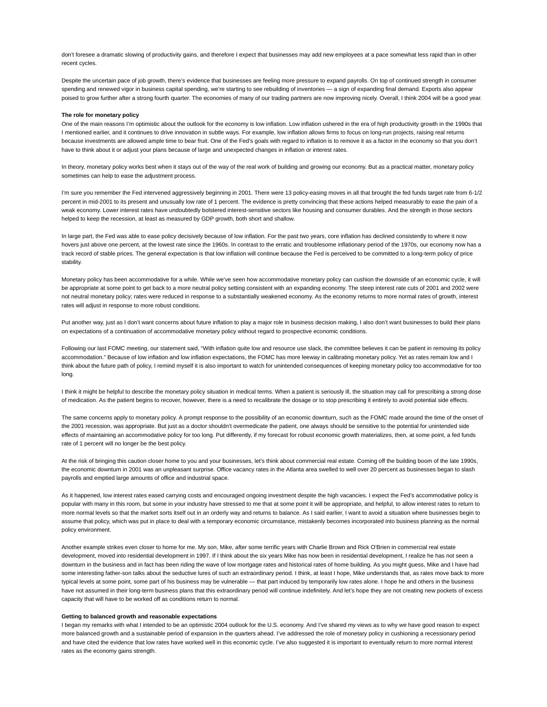don't foresee a dramatic slowing of productivity gains, and therefore I expect that businesses may add new employees at a pace somewhat less rapid than in other recent cycles.

Despite the uncertain pace of job growth, there's evidence that businesses are feeling more pressure to expand payrolls. On top of continued strength in consumer spending and renewed vigor in business capital spending, we're starting to see rebuilding of inventories - a sign of expanding final demand. Exports also appear poised to grow further after a strong fourth quarter. The economies of many of our trading partners are now improving nicely. Overall, I think 2004 will be a good year.

### **The role for monetary policy**

One of the main reasons I'm optimistic about the outlook for the economy is low inflation. Low inflation ushered in the era of high productivity growth in the 1990s that I mentioned earlier, and it continues to drive innovation in subtle ways. For example, low inflation allows firms to focus on long-run projects, raising real returns because investments are allowed ample time to bear fruit. One of the Fed's goals with regard to inflation is to remove it as a factor in the economy so that you don't have to think about it or adjust your plans because of large and unexpected changes in inflation or interest rates.

In theory, monetary policy works best when it stays out of the way of the real work of building and growing our economy. But as a practical matter, monetary policy sometimes can help to ease the adjustment process.

I'm sure you remember the Fed intervened aggressively beginning in 2001. There were 13 policy-easing moves in all that brought the fed funds target rate from 6-1/2 percent in mid-2001 to its present and unusually low rate of 1 percent. The evidence is pretty convincing that these actions helped measurably to ease the pain of a weak economy. Lower interest rates have undoubtedly bolstered interest-sensitive sectors like housing and consumer durables. And the strength in those sectors helped to keep the recession, at least as measured by GDP growth, both short and shallow.

In large part, the Fed was able to ease policy decisively because of low inflation. For the past two years, core inflation has declined consistently to where it now hovers just above one percent, at the lowest rate since the 1960s. In contrast to the erratic and troublesome inflationary period of the 1970s, our economy now has a track record of stable prices. The general expectation is that low inflation will continue because the Fed is perceived to be committed to a long-term policy of price stability.

Monetary policy has been accommodative for a while. While we've seen how accommodative monetary policy can cushion the downside of an economic cycle, it will be appropriate at some point to get back to a more neutral policy setting consistent with an expanding economy. The steep interest rate cuts of 2001 and 2002 were not neutral monetary policy; rates were reduced in response to a substantially weakened economy. As the economy returns to more normal rates of growth, interest rates will adjust in response to more robust conditions.

Put another way, just as I don't want concerns about future inflation to play a major role in business decision making, I also don't want businesses to build their plans on expectations of a continuation of accommodative monetary policy without regard to prospective economic conditions.

Following our last FOMC meeting, our statement said, "With inflation quite low and resource use slack, the committee believes it can be patient in removing its policy accommodation." Because of low inflation and low inflation expectations, the FOMC has more leeway in calibrating monetary policy. Yet as rates remain low and I think about the future path of policy, I remind myself it is also important to watch for unintended consequences of keeping monetary policy too accommodative for too long.

I think it might be helpful to describe the monetary policy situation in medical terms. When a patient is seriously ill, the situation may call for prescribing a strong dose of medication. As the patient begins to recover, however, there is a need to recalibrate the dosage or to stop prescribing it entirely to avoid potential side effects.

The same concerns apply to monetary policy. A prompt response to the possibility of an economic downturn, such as the FOMC made around the time of the onset of the 2001 recession, was appropriate. But just as a doctor shouldn't overmedicate the patient, one always should be sensitive to the potential for unintended side effects of maintaining an accommodative policy for too long. Put differently, if my forecast for robust economic growth materializes, then, at some point, a fed funds rate of 1 percent will no longer be the best policy.

At the risk of bringing this caution closer home to you and your businesses, let's think about commercial real estate. Coming off the building boom of the late 1990s, the economic downturn in 2001 was an unpleasant surprise. Office vacancy rates in the Atlanta area swelled to well over 20 percent as businesses began to slash payrolls and emptied large amounts of office and industrial space.

As it happened, low interest rates eased carrying costs and encouraged ongoing investment despite the high vacancies. I expect the Fed's accommodative policy is popular with many in this room, but some in your industry have stressed to me that at some point it will be appropriate, and helpful, to allow interest rates to return to more normal levels so that the market sorts itself out in an orderly way and returns to balance. As I said earlier, I want to avoid a situation where businesses begin to assume that policy, which was put in place to deal with a temporary economic circumstance, mistakenly becomes incorporated into business planning as the normal policy environment.

Another example strikes even closer to home for me. My son, Mike, after some terrific years with Charlie Brown and Rick O'Brien in commercial real estate development, moved into residential development in 1997. If I think about the six years Mike has now been in residential development, I realize he has not seen a downturn in the business and in fact has been riding the wave of low mortgage rates and historical rates of home building. As you might guess, Mike and I have had some interesting father-son talks about the seductive lures of such an extraordinary period. I think, at least I hope, Mike understands that, as rates move back to more typical levels at some point, some part of his business may be vulnerable — that part induced by temporarily low rates alone. I hope he and others in the business have not assumed in their long-term business plans that this extraordinary period will continue indefinitely. And let's hope they are not creating new pockets of excess capacity that will have to be worked off as conditions return to normal.

### **Getting to balanced growth and reasonable expectations**

I began my remarks with what I intended to be an optimistic 2004 outlook for the U.S. economy. And I've shared my views as to why we have good reason to expect more balanced growth and a sustainable period of expansion in the quarters ahead. I've addressed the role of monetary policy in cushioning a recessionary period and have cited the evidence that low rates have worked well in this economic cycle. I've also suggested it is important to eventually return to more normal interest rates as the economy gains strength.